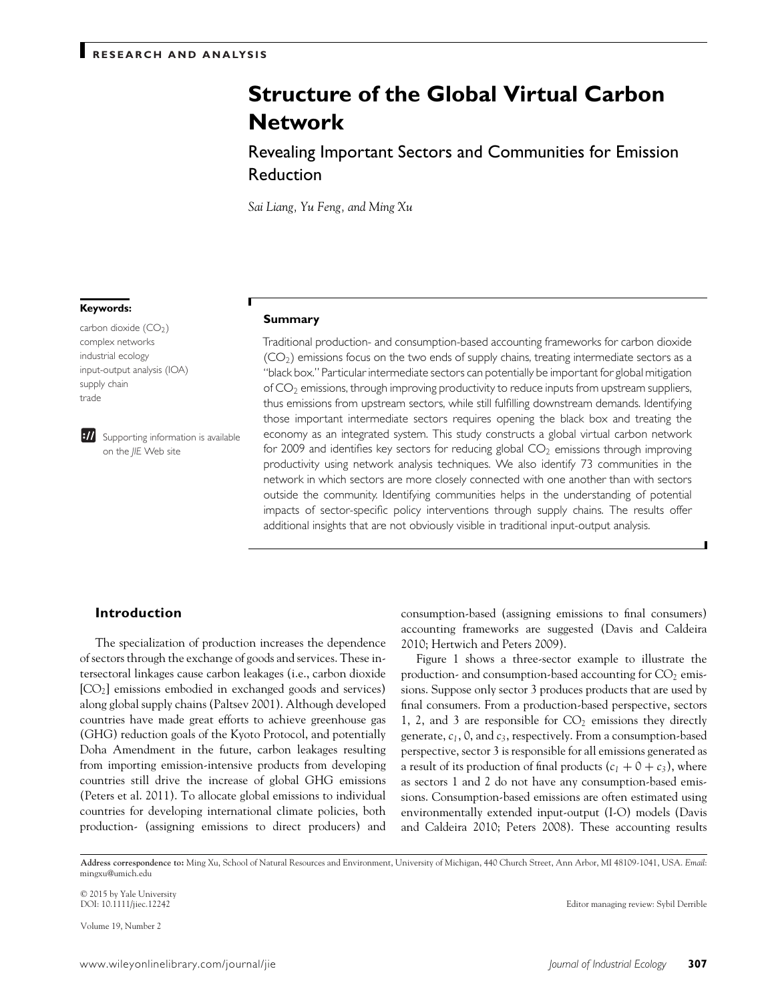# **Structure of the Global Virtual Carbon Network**

Revealing Important Sectors and Communities for Emission Reduction

*Sai Liang, Yu Feng, and Ming Xu*

## **Keywords:**

carbon dioxide  $(CO<sub>2</sub>)$ complex networks industrial ecology input-output analysis (IOA) supply chain trade

**SUPPORT Supporting information is available** on the *JIE* Web site

#### **Summary**

Traditional production- and consumption-based accounting frameworks for carbon dioxide  $(CO<sub>2</sub>)$  emissions focus on the two ends of supply chains, treating intermediate sectors as a "black box." Particular intermediate sectors can potentially be important for global mitigation of CO2 emissions, through improving productivity to reduce inputs from upstream suppliers, thus emissions from upstream sectors, while still fulfilling downstream demands. Identifying those important intermediate sectors requires opening the black box and treating the economy as an integrated system. This study constructs a global virtual carbon network for 2009 and identifies key sectors for reducing global  $CO<sub>2</sub>$  emissions through improving productivity using network analysis techniques. We also identify 73 communities in the network in which sectors are more closely connected with one another than with sectors outside the community. Identifying communities helps in the understanding of potential impacts of sector-specific policy interventions through supply chains. The results offer additional insights that are not obviously visible in traditional input-output analysis.

# **Introduction**

The specialization of production increases the dependence of sectors through the exchange of goods and services. These intersectoral linkages cause carbon leakages (i.e., carbon dioxide  $[CO<sub>2</sub>]$  emissions embodied in exchanged goods and services) along global supply chains (Paltsev 2001). Although developed countries have made great efforts to achieve greenhouse gas (GHG) reduction goals of the Kyoto Protocol, and potentially Doha Amendment in the future, carbon leakages resulting from importing emission-intensive products from developing countries still drive the increase of global GHG emissions (Peters et al. 2011). To allocate global emissions to individual countries for developing international climate policies, both production- (assigning emissions to direct producers) and consumption-based (assigning emissions to final consumers) accounting frameworks are suggested (Davis and Caldeira 2010; Hertwich and Peters 2009).

Figure 1 shows a three-sector example to illustrate the production- and consumption-based accounting for  $CO<sub>2</sub>$  emissions. Suppose only sector 3 produces products that are used by final consumers. From a production-based perspective, sectors 1, 2, and 3 are responsible for  $CO<sub>2</sub>$  emissions they directly generate, *c1*, 0, and *c3*, respectively. From a consumption-based perspective, sector 3 is responsible for all emissions generated as a result of its production of final products  $(c_1 + 0 + c_3)$ , where as sectors 1 and 2 do not have any consumption-based emissions. Consumption-based emissions are often estimated using environmentally extended input-output (I-O) models (Davis and Caldeira 2010; Peters 2008). These accounting results

**Address correspondence to:** Ming Xu, School of Natural Resources and Environment, University of Michigan, 440 Church Street, Ann Arbor, MI 48109-1041, USA. *Email*: mingxu@umich.edu

© 2015 by Yale University

Volume 19, Number 2

Editor managing review: Sybil Derrible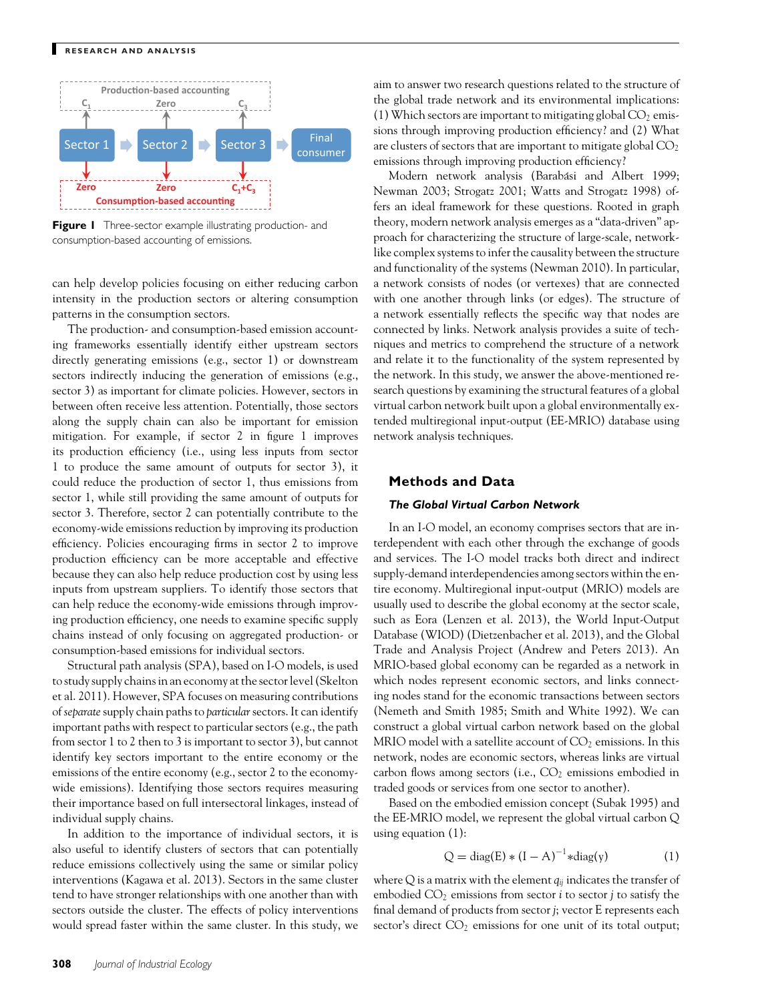

**Figure I** Three-sector example illustrating production- and consumption-based accounting of emissions.

can help develop policies focusing on either reducing carbon intensity in the production sectors or altering consumption patterns in the consumption sectors.

The production- and consumption-based emission accounting frameworks essentially identify either upstream sectors directly generating emissions (e.g., sector 1) or downstream sectors indirectly inducing the generation of emissions (e.g., sector 3) as important for climate policies. However, sectors in between often receive less attention. Potentially, those sectors along the supply chain can also be important for emission mitigation. For example, if sector 2 in figure 1 improves its production efficiency (i.e., using less inputs from sector 1 to produce the same amount of outputs for sector 3), it could reduce the production of sector 1, thus emissions from sector 1, while still providing the same amount of outputs for sector 3. Therefore, sector 2 can potentially contribute to the economy-wide emissions reduction by improving its production efficiency. Policies encouraging firms in sector 2 to improve production efficiency can be more acceptable and effective because they can also help reduce production cost by using less inputs from upstream suppliers. To identify those sectors that can help reduce the economy-wide emissions through improving production efficiency, one needs to examine specific supply chains instead of only focusing on aggregated production- or consumption-based emissions for individual sectors.

Structural path analysis (SPA), based on I-O models, is used to study supply chains in an economy at the sector level (Skelton et al. 2011). However, SPA focuses on measuring contributions of *separate*supply chain paths to *particular* sectors. It can identify important paths with respect to particular sectors (e.g., the path from sector 1 to 2 then to 3 is important to sector 3), but cannot identify key sectors important to the entire economy or the emissions of the entire economy (e.g., sector 2 to the economywide emissions). Identifying those sectors requires measuring their importance based on full intersectoral linkages, instead of individual supply chains.

In addition to the importance of individual sectors, it is also useful to identify clusters of sectors that can potentially reduce emissions collectively using the same or similar policy interventions (Kagawa et al. 2013). Sectors in the same cluster tend to have stronger relationships with one another than with sectors outside the cluster. The effects of policy interventions would spread faster within the same cluster. In this study, we

aim to answer two research questions related to the structure of the global trade network and its environmental implications: (1) Which sectors are important to mitigating global  $CO<sub>2</sub>$  emissions through improving production efficiency? and (2) What are clusters of sectors that are important to mitigate global  $CO<sub>2</sub>$ emissions through improving production efficiency?

Modern network analysis (Barabási and Albert 1999; Newman 2003; Strogatz 2001; Watts and Strogatz 1998) offers an ideal framework for these questions. Rooted in graph theory, modern network analysis emerges as a "data-driven" approach for characterizing the structure of large-scale, networklike complex systems to infer the causality between the structure and functionality of the systems (Newman 2010). In particular, a network consists of nodes (or vertexes) that are connected with one another through links (or edges). The structure of a network essentially reflects the specific way that nodes are connected by links. Network analysis provides a suite of techniques and metrics to comprehend the structure of a network and relate it to the functionality of the system represented by the network. In this study, we answer the above-mentioned research questions by examining the structural features of a global virtual carbon network built upon a global environmentally extended multiregional input-output (EE-MRIO) database using network analysis techniques.

# **Methods and Data**

## *The Global Virtual Carbon Network*

In an I-O model, an economy comprises sectors that are interdependent with each other through the exchange of goods and services. The I-O model tracks both direct and indirect supply-demand interdependencies among sectors within the entire economy. Multiregional input-output (MRIO) models are usually used to describe the global economy at the sector scale, such as Eora (Lenzen et al. 2013), the World Input-Output Database (WIOD) (Dietzenbacher et al. 2013), and the Global Trade and Analysis Project (Andrew and Peters 2013). An MRIO-based global economy can be regarded as a network in which nodes represent economic sectors, and links connecting nodes stand for the economic transactions between sectors (Nemeth and Smith 1985; Smith and White 1992). We can construct a global virtual carbon network based on the global MRIO model with a satellite account of  $CO<sub>2</sub>$  emissions. In this network, nodes are economic sectors, whereas links are virtual carbon flows among sectors (i.e.,  $CO<sub>2</sub>$  emissions embodied in traded goods or services from one sector to another).

Based on the embodied emission concept (Subak 1995) and the EE-MRIO model, we represent the global virtual carbon Q using equation (1):

$$
Q = diag(E) * (I - A)^{-1} * diag(y)
$$
 (1)

where Q is a matrix with the element  $q_{ii}$  indicates the transfer of embodied  $CO<sub>2</sub>$  emissions from sector *i* to sector *j* to satisfy the final demand of products from sector *j*; vector E represents each sector's direct  $CO<sub>2</sub>$  emissions for one unit of its total output;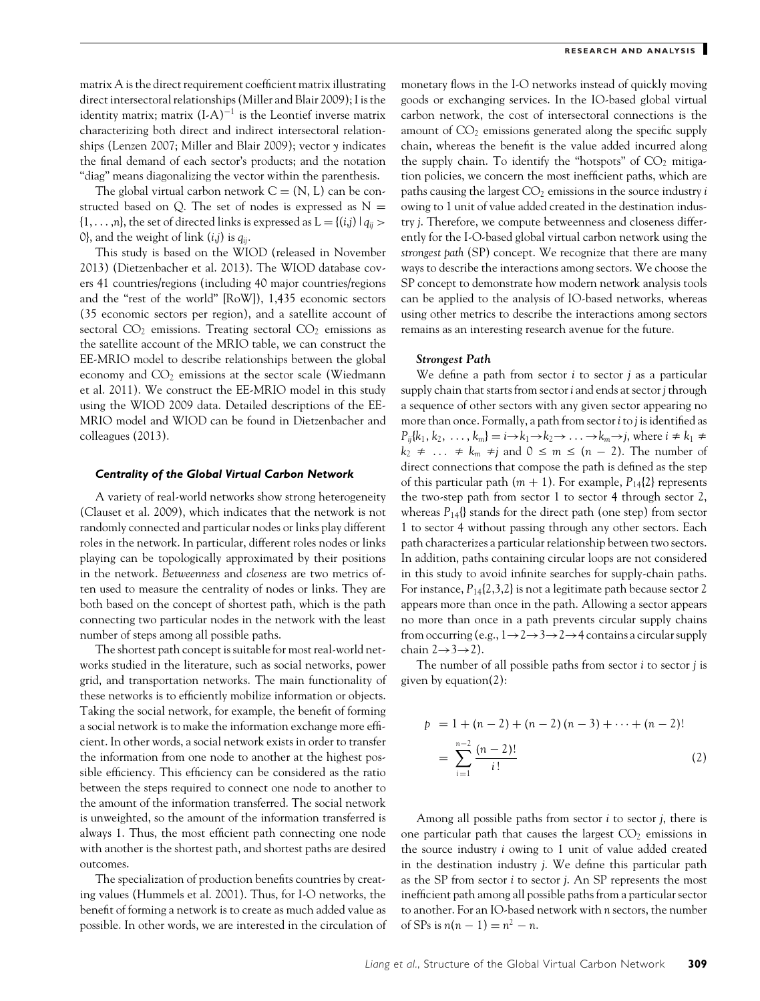matrix A is the direct requirement coefficient matrix illustrating direct intersectoral relationships (Miller and Blair 2009); I is the identity matrix; matrix  $(L-A)^{-1}$  is the Leontief inverse matrix characterizing both direct and indirect intersectoral relationships (Lenzen 2007; Miller and Blair 2009); vector *y* indicates the final demand of each sector's products; and the notation "diag" means diagonalizing the vector within the parenthesis.

The global virtual carbon network  $C = (N, L)$  can be constructed based on Q. The set of nodes is expressed as  $N =$  $\{1,\ldots,n\}$ , the set of directed links is expressed as  $L = \{(i,j) | q_{ij} > i\}$ 0}, and the weight of link (*i*,*j*) is *qij*.

This study is based on the WIOD (released in November 2013) (Dietzenbacher et al. 2013). The WIOD database covers 41 countries/regions (including 40 major countries/regions and the "rest of the world" [RoW]), 1,435 economic sectors (35 economic sectors per region), and a satellite account of sectoral  $CO<sub>2</sub>$  emissions. Treating sectoral  $CO<sub>2</sub>$  emissions as the satellite account of the MRIO table, we can construct the EE-MRIO model to describe relationships between the global economy and  $CO<sub>2</sub>$  emissions at the sector scale (Wiedmann et al. 2011). We construct the EE-MRIO model in this study using the WIOD 2009 data. Detailed descriptions of the EE-MRIO model and WIOD can be found in Dietzenbacher and colleagues (2013).

#### *Centrality of the Global Virtual Carbon Network*

A variety of real-world networks show strong heterogeneity (Clauset et al. 2009), which indicates that the network is not randomly connected and particular nodes or links play different roles in the network. In particular, different roles nodes or links playing can be topologically approximated by their positions in the network. *Betweenness* and *closeness* are two metrics often used to measure the centrality of nodes or links. They are both based on the concept of shortest path, which is the path connecting two particular nodes in the network with the least number of steps among all possible paths.

The shortest path concept is suitable for most real-world networks studied in the literature, such as social networks, power grid, and transportation networks. The main functionality of these networks is to efficiently mobilize information or objects. Taking the social network, for example, the benefit of forming a social network is to make the information exchange more efficient. In other words, a social network exists in order to transfer the information from one node to another at the highest possible efficiency. This efficiency can be considered as the ratio between the steps required to connect one node to another to the amount of the information transferred. The social network is unweighted, so the amount of the information transferred is always 1. Thus, the most efficient path connecting one node with another is the shortest path, and shortest paths are desired outcomes.

The specialization of production benefits countries by creating values (Hummels et al. 2001). Thus, for I-O networks, the benefit of forming a network is to create as much added value as possible. In other words, we are interested in the circulation of monetary flows in the I-O networks instead of quickly moving goods or exchanging services. In the IO-based global virtual carbon network, the cost of intersectoral connections is the amount of  $CO<sub>2</sub>$  emissions generated along the specific supply chain, whereas the benefit is the value added incurred along the supply chain. To identify the "hotspots" of  $CO<sub>2</sub>$  mitigation policies, we concern the most inefficient paths, which are paths causing the largest  $CO<sub>2</sub>$  emissions in the source industry *i* owing to 1 unit of value added created in the destination industry *j*. Therefore, we compute betweenness and closeness differently for the I-O-based global virtual carbon network using the *strongest path* (SP) concept. We recognize that there are many ways to describe the interactions among sectors. We choose the SP concept to demonstrate how modern network analysis tools can be applied to the analysis of IO-based networks, whereas using other metrics to describe the interactions among sectors remains as an interesting research avenue for the future.

#### *Strongest Path*

We define a path from sector *i* to sector *j* as a particular supply chain that starts from sector *i* and ends at sector *j* through a sequence of other sectors with any given sector appearing no more than once. Formally, a path from sector *i* to *j* is identified as  $P_{ij}$ { $k_1, k_2, \ldots, k_m$ } =  $i \rightarrow k_1 \rightarrow k_2 \rightarrow \ldots \rightarrow k_m \rightarrow j$ , where  $i \neq k_1 \neq j$  $k_2 \neq \ldots \neq k_m \neq j$  and  $0 \leq m \leq (n-2)$ . The number of direct connections that compose the path is defined as the step of this particular path  $(m + 1)$ . For example,  $P_{14}$ {2} represents the two-step path from sector 1 to sector 4 through sector 2, whereas  $P_{14}$  stands for the direct path (one step) from sector 1 to sector 4 without passing through any other sectors. Each path characterizes a particular relationship between two sectors. In addition, paths containing circular loops are not considered in this study to avoid infinite searches for supply-chain paths. For instance, *P*14{2,3,2} is not a legitimate path because sector 2 appears more than once in the path. Allowing a sector appears no more than once in a path prevents circular supply chains from occurring (e.g.,  $1 \rightarrow 2 \rightarrow 3 \rightarrow 2 \rightarrow 4$  contains a circular supply chain  $2\rightarrow 3\rightarrow 2$ ).

The number of all possible paths from sector *i* to sector *j* is given by equation(2):

$$
p = 1 + (n - 2) + (n - 2) (n - 3) + \dots + (n - 2)!
$$
  
= 
$$
\sum_{i=1}^{n-2} \frac{(n-2)!}{i!}
$$
 (2)

Among all possible paths from sector *i* to sector *j*, there is one particular path that causes the largest  $CO<sub>2</sub>$  emissions in the source industry *i* owing to 1 unit of value added created in the destination industry *j*. We define this particular path as the SP from sector *i* to sector *j*. An SP represents the most inefficient path among all possible paths from a particular sector to another. For an IO-based network with *n* sectors, the number of SPs is  $n(n - 1) = n^2 - n$ .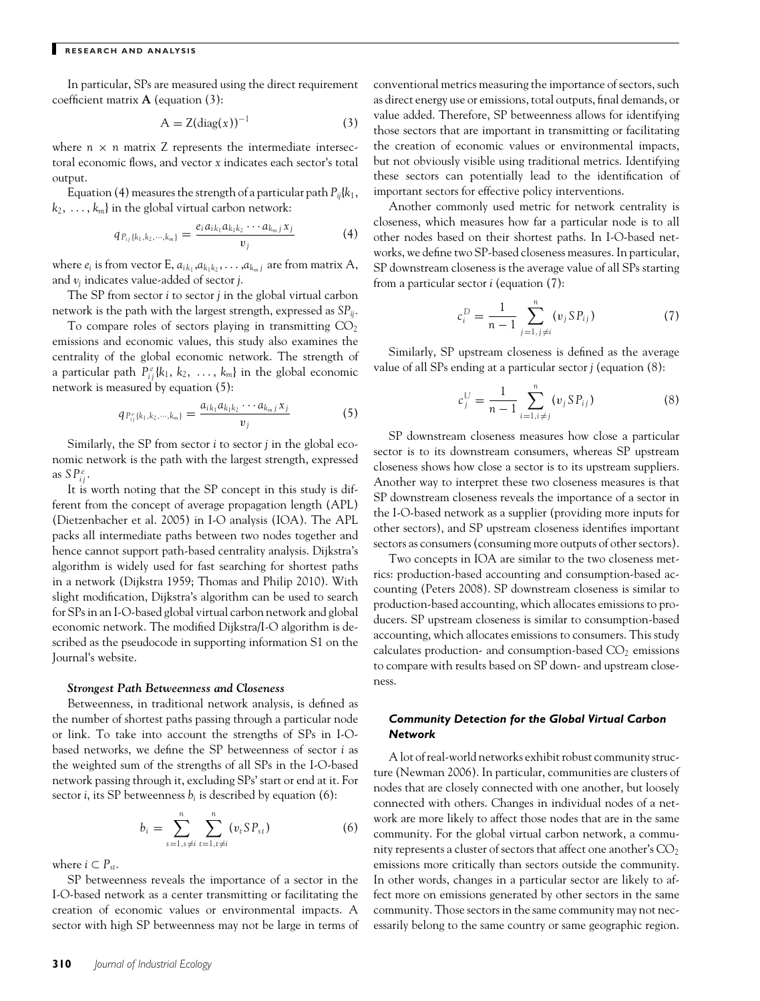In particular, SPs are measured using the direct requirement coefficient matrix **A** (equation (3):

$$
A = Z(\text{diag}(x))^{-1}
$$
 (3)

where  $n \times n$  matrix Z represents the intermediate intersectoral economic flows, and vector *x* indicates each sector's total output.

Equation (4) measures the strength of a particular path  $P_{ii}[k_1,$  $k_2, \ldots, k_m$  in the global virtual carbon network:

$$
q_{P_{ij}\{k_1,k_2,\cdots,k_m\}} = \frac{e_i a_{ik_1} a_{k_1k_2} \cdots a_{k_m j} x_j}{v_j} \tag{4}
$$

where  $e_i$  is from vector E,  $a_{ik_1}, a_{k_1k_2}, \ldots, a_{k_m}$  are from matrix A, and *vj* indicates value-added of sector *j*.

The SP from sector *i* to sector *j* in the global virtual carbon network is the path with the largest strength, expressed as *SPij*.

To compare roles of sectors playing in transmitting  $CO<sub>2</sub>$ emissions and economic values, this study also examines the centrality of the global economic network. The strength of a particular path  $P_{ij}^e$  { $k_1, k_2, \ldots, k_m$ } in the global economic network is measured by equation (5):

$$
q_{P_{ij}^e\{k_1, k_2, \cdots, k_m\}} = \frac{a_{ik_1}a_{k_1k_2}\cdots a_{k_mj}x_j}{v_j}
$$
(5)

Similarly, the SP from sector *i* to sector *j* in the global economic network is the path with the largest strength, expressed as  $SP^e_{ij}$ .

It is worth noting that the SP concept in this study is different from the concept of average propagation length (APL) (Dietzenbacher et al. 2005) in I-O analysis (IOA). The APL packs all intermediate paths between two nodes together and hence cannot support path-based centrality analysis. Dijkstra's algorithm is widely used for fast searching for shortest paths in a network (Dijkstra 1959; Thomas and Philip 2010). With slight modification, Dijkstra's algorithm can be used to search for SPs in an I-O-based global virtual carbon network and global economic network. The modified Dijkstra/I-O algorithm is described as the pseudocode in supporting information S1 on the Journal's website.

#### *Strongest Path Betweenness and Closeness*

Betweenness, in traditional network analysis, is defined as the number of shortest paths passing through a particular node or link. To take into account the strengths of SPs in I-Obased networks, we define the SP betweenness of sector *i* as the weighted sum of the strengths of all SPs in the I-O-based network passing through it, excluding SPs' start or end at it. For sector *i*, its SP betweenness  $b_i$  is described by equation (6):

$$
b_i = \sum_{s=1, s \neq i}^{n} \sum_{t=1, t \neq i}^{n} (v_t \, \text{S} \, P_{st}) \tag{6}
$$

where  $i \subset P_{st}$ .

SP betweenness reveals the importance of a sector in the I-O-based network as a center transmitting or facilitating the creation of economic values or environmental impacts. A sector with high SP betweenness may not be large in terms of conventional metrics measuring the importance of sectors, such as direct energy use or emissions, total outputs, final demands, or value added. Therefore, SP betweenness allows for identifying those sectors that are important in transmitting or facilitating the creation of economic values or environmental impacts, but not obviously visible using traditional metrics. Identifying these sectors can potentially lead to the identification of important sectors for effective policy interventions.

Another commonly used metric for network centrality is closeness, which measures how far a particular node is to all other nodes based on their shortest paths. In I-O-based networks, we define two SP-based closeness measures. In particular, SP downstream closeness is the average value of all SPs starting from a particular sector *i* (equation (7):

$$
c_i^D = \frac{1}{n-1} \sum_{j=1, j \neq i}^n (v_j \, \text{S} \, P_{ij}) \tag{7}
$$

Similarly, SP upstream closeness is defined as the average value of all SPs ending at a particular sector *j* (equation (8):

$$
c_j^U = \frac{1}{n-1} \sum_{i=1, i \neq j}^n (v_j \, \mathsf{S} \, P_{ij}) \tag{8}
$$

SP downstream closeness measures how close a particular sector is to its downstream consumers, whereas SP upstream closeness shows how close a sector is to its upstream suppliers. Another way to interpret these two closeness measures is that SP downstream closeness reveals the importance of a sector in the I-O-based network as a supplier (providing more inputs for other sectors), and SP upstream closeness identifies important sectors as consumers (consuming more outputs of other sectors).

Two concepts in IOA are similar to the two closeness metrics: production-based accounting and consumption-based accounting (Peters 2008). SP downstream closeness is similar to production-based accounting, which allocates emissions to producers. SP upstream closeness is similar to consumption-based accounting, which allocates emissions to consumers. This study calculates production- and consumption-based  $CO<sub>2</sub>$  emissions to compare with results based on SP down- and upstream closeness.

# *Community Detection for the Global Virtual Carbon Network*

A lot of real-world networks exhibit robust community structure (Newman 2006). In particular, communities are clusters of nodes that are closely connected with one another, but loosely connected with others. Changes in individual nodes of a network are more likely to affect those nodes that are in the same community. For the global virtual carbon network, a community represents a cluster of sectors that affect one another's  $CO<sub>2</sub>$ emissions more critically than sectors outside the community. In other words, changes in a particular sector are likely to affect more on emissions generated by other sectors in the same community. Those sectors in the same community may not necessarily belong to the same country or same geographic region.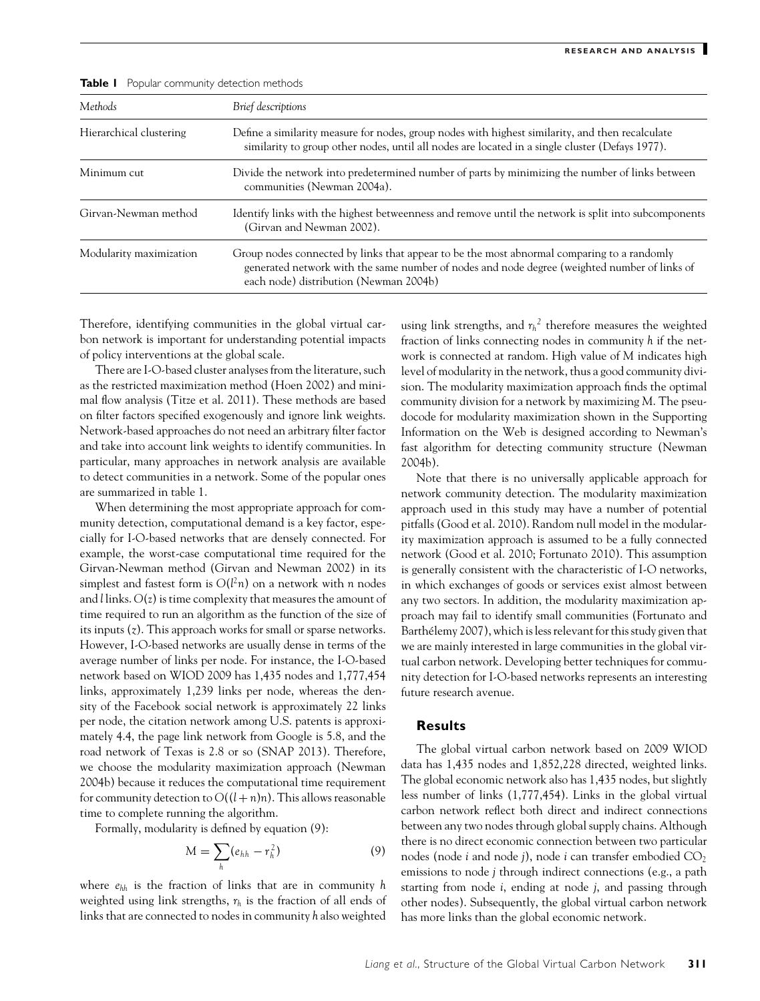| Methods                 | Brief descriptions                                                                                                                                                                                                                   |
|-------------------------|--------------------------------------------------------------------------------------------------------------------------------------------------------------------------------------------------------------------------------------|
| Hierarchical clustering | Define a similarity measure for nodes, group nodes with highest similarity, and then recalculate<br>similarity to group other nodes, until all nodes are located in a single cluster (Defays 1977).                                  |
| Minimum cut             | Divide the network into predetermined number of parts by minimizing the number of links between<br>communities (Newman 2004a).                                                                                                       |
| Girvan-Newman method    | Identify links with the highest betweenness and remove until the network is split into subcomponents<br>(Girvan and Newman 2002).                                                                                                    |
| Modularity maximization | Group nodes connected by links that appear to be the most abnormal comparing to a randomly<br>generated network with the same number of nodes and node degree (weighted number of links of<br>each node) distribution (Newman 2004b) |

**Table I** Popular community detection methods

Therefore, identifying communities in the global virtual carbon network is important for understanding potential impacts of policy interventions at the global scale.

There are I-O-based cluster analyses from the literature, such as the restricted maximization method (Hoen 2002) and minimal flow analysis (Titze et al. 2011). These methods are based on filter factors specified exogenously and ignore link weights. Network-based approaches do not need an arbitrary filter factor and take into account link weights to identify communities. In particular, many approaches in network analysis are available to detect communities in a network. Some of the popular ones are summarized in table 1.

When determining the most appropriate approach for community detection, computational demand is a key factor, especially for I-O-based networks that are densely connected. For example, the worst-case computational time required for the Girvan-Newman method (Girvan and Newman 2002) in its simplest and fastest form is  $O(l^2n)$  on a network with *n* nodes and *l* links. *O*(z) is time complexity that measures the amount of time required to run an algorithm as the function of the size of its inputs (*z*). This approach works for small or sparse networks. However, I-O-based networks are usually dense in terms of the average number of links per node. For instance, the I-O-based network based on WIOD 2009 has 1,435 nodes and 1,777,454 links, approximately 1,239 links per node, whereas the density of the Facebook social network is approximately 22 links per node, the citation network among U.S. patents is approximately 4.4, the page link network from Google is 5.8, and the road network of Texas is 2.8 or so (SNAP 2013). Therefore, we choose the modularity maximization approach (Newman 2004b) because it reduces the computational time requirement for community detection to  $O((l + n)n)$ . This allows reasonable time to complete running the algorithm.

Formally, modularity is defined by equation (9):

$$
M = \sum_{h} (e_{hh} - r_h^2) \tag{9}
$$

where *ehh* is the fraction of links that are in community *h* weighted using link strengths, *rh* is the fraction of all ends of links that are connected to nodes in community *h* also weighted

using link strengths, and  $r_h{}^2$  therefore measures the weighted fraction of links connecting nodes in community *h* if the network is connected at random. High value of *M* indicates high level of modularity in the network, thus a good community division. The modularity maximization approach finds the optimal community division for a network by maximizing *M*. The pseudocode for modularity maximization shown in the Supporting Information on the Web is designed according to Newman's fast algorithm for detecting community structure (Newman 2004b).

Note that there is no universally applicable approach for network community detection. The modularity maximization approach used in this study may have a number of potential pitfalls (Good et al. 2010). Random null model in the modularity maximization approach is assumed to be a fully connected network (Good et al. 2010; Fortunato 2010). This assumption is generally consistent with the characteristic of I-O networks, in which exchanges of goods or services exist almost between any two sectors. In addition, the modularity maximization approach may fail to identify small communities (Fortunato and Barthelemy 2007), which is less relevant for this study given that ´ we are mainly interested in large communities in the global virtual carbon network. Developing better techniques for community detection for I-O-based networks represents an interesting future research avenue.

## **Results**

The global virtual carbon network based on 2009 WIOD data has 1,435 nodes and 1,852,228 directed, weighted links. The global economic network also has 1,435 nodes, but slightly less number of links (1,777,454). Links in the global virtual carbon network reflect both direct and indirect connections between any two nodes through global supply chains. Although there is no direct economic connection between two particular nodes (node *i* and node *j*), node *i* can transfer embodied CO<sub>2</sub> emissions to node *j* through indirect connections (e.g., a path starting from node *i*, ending at node *j*, and passing through other nodes). Subsequently, the global virtual carbon network has more links than the global economic network.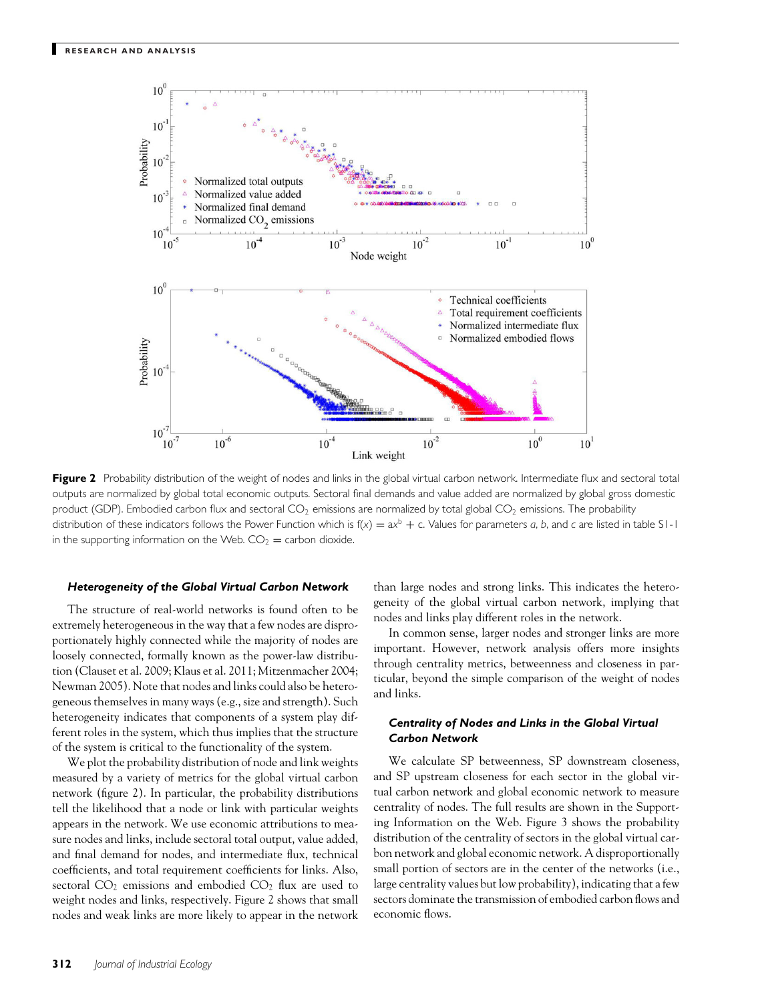

Figure 2 Probability distribution of the weight of nodes and links in the global virtual carbon network. Intermediate flux and sectoral total outputs are normalized by global total economic outputs. Sectoral final demands and value added are normalized by global gross domestic product (GDP). Embodied carbon flux and sectoral  $CO<sub>2</sub>$  emissions are normalized by total global  $CO<sub>2</sub>$  emissions. The probability distribution of these indicators follows the Power Function which is  $f(x) = ax^b + c$ . Values for parameters *a*, *b*, and *c* are listed in table S1-1 in the supporting information on the Web.  $CO<sub>2</sub> =$  carbon dioxide.

#### *Heterogeneity of the Global Virtual Carbon Network*

The structure of real-world networks is found often to be extremely heterogeneous in the way that a few nodes are disproportionately highly connected while the majority of nodes are loosely connected, formally known as the power-law distribution (Clauset et al. 2009; Klaus et al. 2011; Mitzenmacher 2004; Newman 2005). Note that nodes and links could also be heterogeneous themselves in many ways (e.g., size and strength). Such heterogeneity indicates that components of a system play different roles in the system, which thus implies that the structure of the system is critical to the functionality of the system.

We plot the probability distribution of node and link weights measured by a variety of metrics for the global virtual carbon network (figure 2). In particular, the probability distributions tell the likelihood that a node or link with particular weights appears in the network. We use economic attributions to measure nodes and links, include sectoral total output, value added, and final demand for nodes, and intermediate flux, technical coefficients, and total requirement coefficients for links. Also, sectoral  $CO_2$  emissions and embodied  $CO_2$  flux are used to weight nodes and links, respectively. Figure 2 shows that small nodes and weak links are more likely to appear in the network than large nodes and strong links. This indicates the heterogeneity of the global virtual carbon network, implying that nodes and links play different roles in the network.

In common sense, larger nodes and stronger links are more important. However, network analysis offers more insights through centrality metrics, betweenness and closeness in particular, beyond the simple comparison of the weight of nodes and links.

# *Centrality of Nodes and Links in the Global Virtual Carbon Network*

We calculate SP betweenness, SP downstream closeness, and SP upstream closeness for each sector in the global virtual carbon network and global economic network to measure centrality of nodes. The full results are shown in the Supporting Information on the Web. Figure 3 shows the probability distribution of the centrality of sectors in the global virtual carbon network and global economic network. A disproportionally small portion of sectors are in the center of the networks (i.e., large centrality values but low probability), indicating that a few sectors dominate the transmission of embodied carbon flows and economic flows.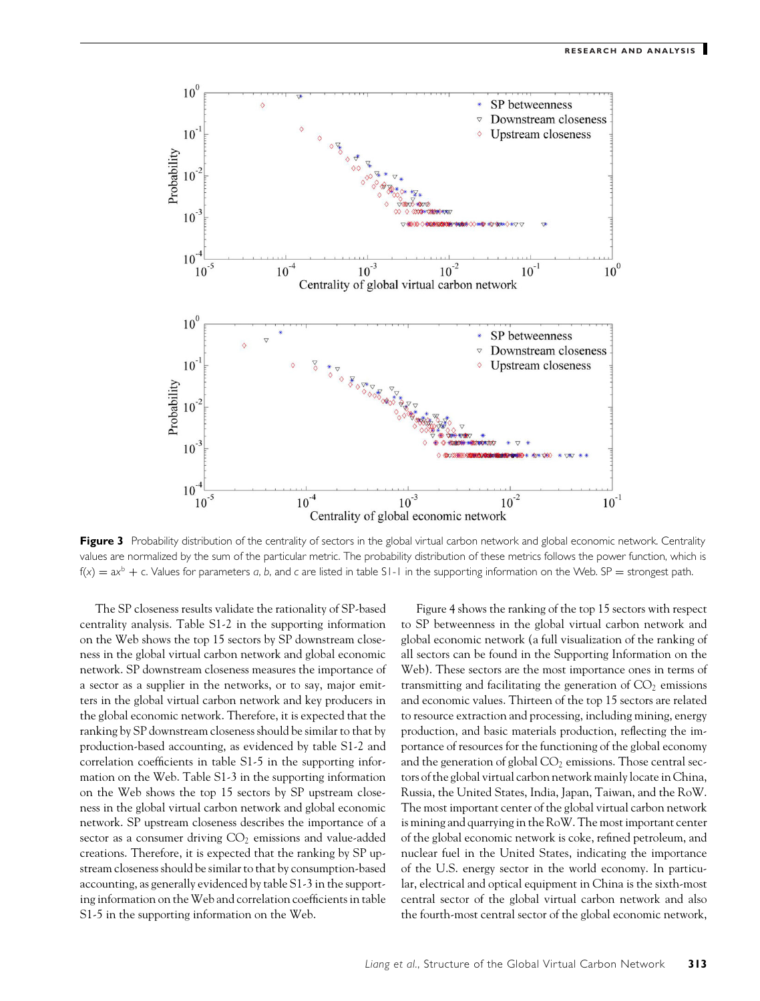

**Figure 3** Probability distribution of the centrality of sectors in the global virtual carbon network and global economic network. Centrality values are normalized by the sum of the particular metric. The probability distribution of these metrics follows the power function, which is  $f(x) = ax^b + c$ . Values for parameters *a*, *b*, and *c* are listed in table S1-1 in the supporting information on the Web. SP = strongest path.

The SP closeness results validate the rationality of SP-based centrality analysis. Table S1-2 in the supporting information on the Web shows the top 15 sectors by SP downstream closeness in the global virtual carbon network and global economic network. SP downstream closeness measures the importance of a sector as a supplier in the networks, or to say, major emitters in the global virtual carbon network and key producers in the global economic network. Therefore, it is expected that the ranking by SP downstream closeness should be similar to that by production-based accounting, as evidenced by table S1-2 and correlation coefficients in table S1-5 in the supporting information on the Web. Table S1-3 in the supporting information on the Web shows the top 15 sectors by SP upstream closeness in the global virtual carbon network and global economic network. SP upstream closeness describes the importance of a sector as a consumer driving  $CO<sub>2</sub>$  emissions and value-added creations. Therefore, it is expected that the ranking by SP upstream closeness should be similar to that by consumption-based accounting, as generally evidenced by table S1-3 in the supporting information on theWeb and correlation coefficients in table S1-5 in the supporting information on the Web.

Figure 4 shows the ranking of the top 15 sectors with respect to SP betweenness in the global virtual carbon network and global economic network (a full visualization of the ranking of all sectors can be found in the Supporting Information on the Web). These sectors are the most importance ones in terms of transmitting and facilitating the generation of  $CO<sub>2</sub>$  emissions and economic values. Thirteen of the top 15 sectors are related to resource extraction and processing, including mining, energy production, and basic materials production, reflecting the importance of resources for the functioning of the global economy and the generation of global  $CO<sub>2</sub>$  emissions. Those central sectors of the global virtual carbon network mainly locate in China, Russia, the United States, India, Japan, Taiwan, and the RoW. The most important center of the global virtual carbon network is mining and quarrying in the RoW. The most important center of the global economic network is coke, refined petroleum, and nuclear fuel in the United States, indicating the importance of the U.S. energy sector in the world economy. In particular, electrical and optical equipment in China is the sixth-most central sector of the global virtual carbon network and also the fourth-most central sector of the global economic network,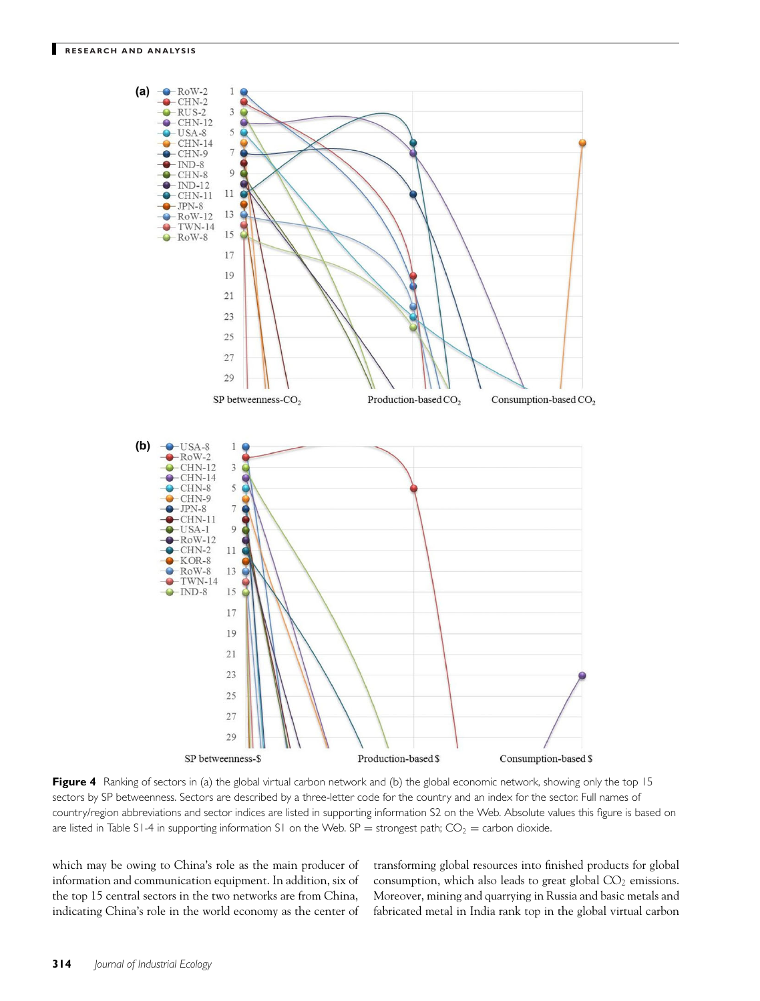

Figure 4 Ranking of sectors in (a) the global virtual carbon network and (b) the global economic network, showing only the top 15 sectors by SP betweenness. Sectors are described by a three-letter code for the country and an index for the sector. Full names of country/region abbreviations and sector indices are listed in supporting information S2 on the Web. Absolute values this figure is based on are listed in Table S1-4 in supporting information S1 on the Web. SP = strongest path;  $CO_2$  = carbon dioxide.

which may be owing to China's role as the main producer of information and communication equipment. In addition, six of the top 15 central sectors in the two networks are from China, indicating China's role in the world economy as the center of transforming global resources into finished products for global consumption, which also leads to great global  $CO<sub>2</sub>$  emissions. Moreover, mining and quarrying in Russia and basic metals and fabricated metal in India rank top in the global virtual carbon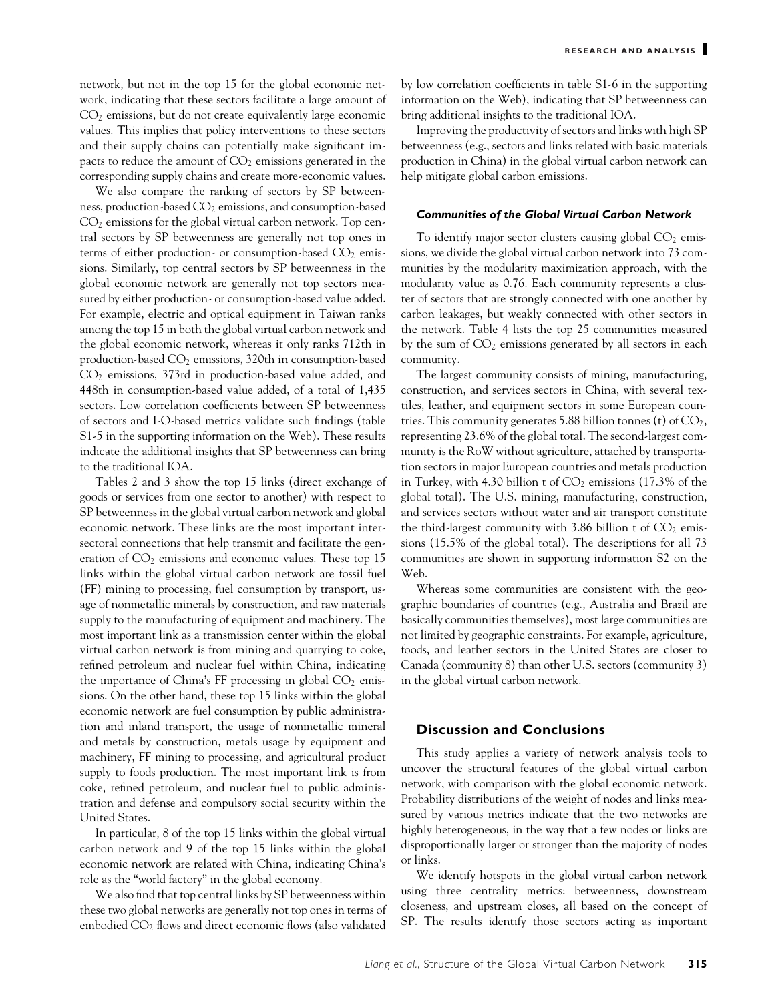network, but not in the top 15 for the global economic network, indicating that these sectors facilitate a large amount of  $CO<sub>2</sub>$  emissions, but do not create equivalently large economic values. This implies that policy interventions to these sectors and their supply chains can potentially make significant impacts to reduce the amount of  $CO<sub>2</sub>$  emissions generated in the corresponding supply chains and create more-economic values.

We also compare the ranking of sectors by SP betweenness, production-based CO<sub>2</sub> emissions, and consumption-based  $CO<sub>2</sub>$  emissions for the global virtual carbon network. Top central sectors by SP betweenness are generally not top ones in terms of either production- or consumption-based  $CO_2$  emissions. Similarly, top central sectors by SP betweenness in the global economic network are generally not top sectors measured by either production- or consumption-based value added. For example, electric and optical equipment in Taiwan ranks among the top 15 in both the global virtual carbon network and the global economic network, whereas it only ranks 712th in production-based  $CO<sub>2</sub>$  emissions, 320th in consumption-based  $CO<sub>2</sub>$  emissions, 373rd in production-based value added, and 448th in consumption-based value added, of a total of 1,435 sectors. Low correlation coefficients between SP betweenness of sectors and I-O-based metrics validate such findings (table S1-5 in the supporting information on the Web). These results indicate the additional insights that SP betweenness can bring to the traditional IOA.

Tables 2 and 3 show the top 15 links (direct exchange of goods or services from one sector to another) with respect to SP betweenness in the global virtual carbon network and global economic network. These links are the most important intersectoral connections that help transmit and facilitate the generation of  $CO<sub>2</sub>$  emissions and economic values. These top 15 links within the global virtual carbon network are fossil fuel (FF) mining to processing, fuel consumption by transport, usage of nonmetallic minerals by construction, and raw materials supply to the manufacturing of equipment and machinery. The most important link as a transmission center within the global virtual carbon network is from mining and quarrying to coke, refined petroleum and nuclear fuel within China, indicating the importance of China's FF processing in global  $CO<sub>2</sub>$  emissions. On the other hand, these top 15 links within the global economic network are fuel consumption by public administration and inland transport, the usage of nonmetallic mineral and metals by construction, metals usage by equipment and machinery, FF mining to processing, and agricultural product supply to foods production. The most important link is from coke, refined petroleum, and nuclear fuel to public administration and defense and compulsory social security within the United States.

In particular, 8 of the top 15 links within the global virtual carbon network and 9 of the top 15 links within the global economic network are related with China, indicating China's role as the "world factory" in the global economy.

We also find that top central links by SP betweenness within these two global networks are generally not top ones in terms of embodied CO<sub>2</sub> flows and direct economic flows (also validated

by low correlation coefficients in table S1-6 in the supporting information on the Web), indicating that SP betweenness can bring additional insights to the traditional IOA.

Improving the productivity of sectors and links with high SP betweenness (e.g., sectors and links related with basic materials production in China) in the global virtual carbon network can help mitigate global carbon emissions.

## *Communities of the Global Virtual Carbon Network*

To identify major sector clusters causing global  $CO<sub>2</sub>$  emissions, we divide the global virtual carbon network into 73 communities by the modularity maximization approach, with the modularity value as 0.76. Each community represents a cluster of sectors that are strongly connected with one another by carbon leakages, but weakly connected with other sectors in the network. Table 4 lists the top 25 communities measured by the sum of  $CO<sub>2</sub>$  emissions generated by all sectors in each community.

The largest community consists of mining, manufacturing, construction, and services sectors in China, with several textiles, leather, and equipment sectors in some European countries. This community generates 5.88 billion tonnes (t) of  $CO_2$ , representing 23.6% of the global total. The second-largest community is the RoW without agriculture, attached by transportation sectors in major European countries and metals production in Turkey, with 4.30 billion t of  $CO<sub>2</sub>$  emissions (17.3% of the global total). The U.S. mining, manufacturing, construction, and services sectors without water and air transport constitute the third-largest community with 3.86 billion t of  $CO<sub>2</sub>$  emissions (15.5% of the global total). The descriptions for all 73 communities are shown in supporting information S2 on the Web.

Whereas some communities are consistent with the geographic boundaries of countries (e.g., Australia and Brazil are basically communities themselves), most large communities are not limited by geographic constraints. For example, agriculture, foods, and leather sectors in the United States are closer to Canada (community 8) than other U.S. sectors (community 3) in the global virtual carbon network.

## **Discussion and Conclusions**

This study applies a variety of network analysis tools to uncover the structural features of the global virtual carbon network, with comparison with the global economic network. Probability distributions of the weight of nodes and links measured by various metrics indicate that the two networks are highly heterogeneous, in the way that a few nodes or links are disproportionally larger or stronger than the majority of nodes or links.

We identify hotspots in the global virtual carbon network using three centrality metrics: betweenness, downstream closeness, and upstream closes, all based on the concept of SP. The results identify those sectors acting as important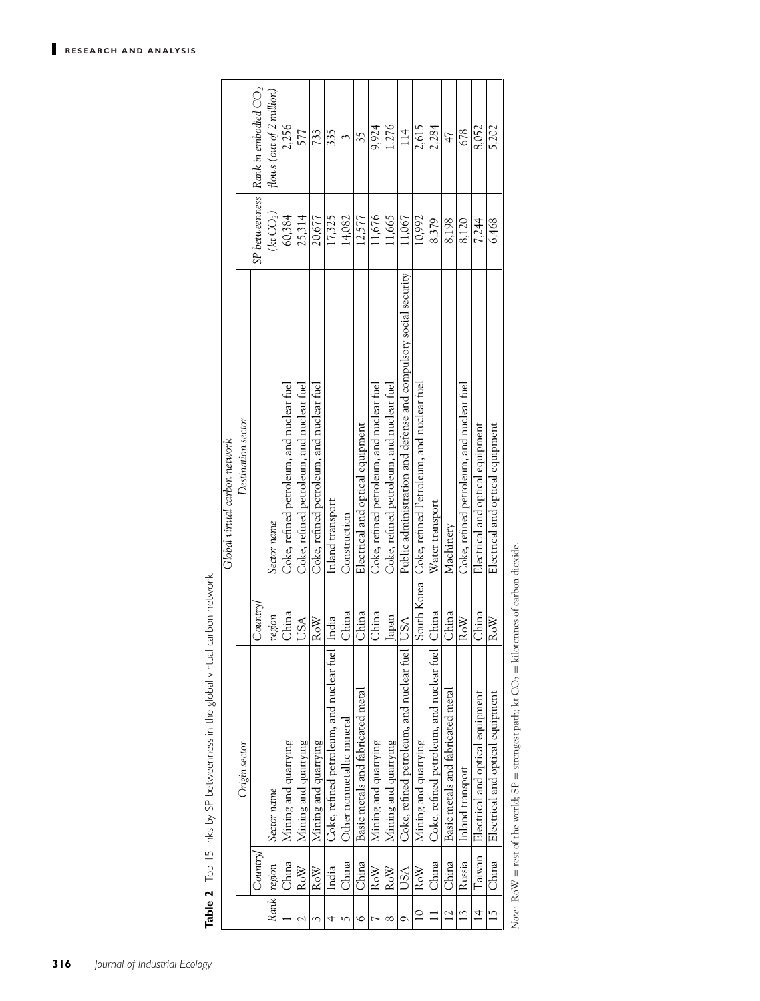|                |               |                                                                                                        |                 | Global virtual carbon network                                    |                       |                                                     |
|----------------|---------------|--------------------------------------------------------------------------------------------------------|-----------------|------------------------------------------------------------------|-----------------------|-----------------------------------------------------|
|                |               | Origin sector                                                                                          |                 | Destination sector                                               |                       |                                                     |
|                | Country,      |                                                                                                        | Country         |                                                                  |                       | SP betweenness $ $ Rank in embodied $\mathrm{CO}_2$ |
|                | Rank   region | Sector name                                                                                            | region          | Sector name                                                      | (kt CO <sub>2</sub> ) | flows (out of 2 million)                            |
|                | China         | Mining and quarrying                                                                                   | China           | Coke, refined petroleum, and nuclear fuel                        | 60,384                | 2,256                                               |
|                | RoW           | Mining and quarrying                                                                                   | USA             | Coke, refined petroleum, and nuclear fuel                        | 25,314                | 577                                                 |
|                | RoW           | Mining and quarrying                                                                                   | <b>RoW</b>      | Coke, refined petroleum, and nuclear fuel                        | 20,677                | 733                                                 |
|                | India         | Coke, refined petroleum, and nuclear fuel                                                              | India           | Inland transport                                                 | 17,325                | 335                                                 |
|                | China         | Other nonmetallic mineral                                                                              | China           | Construction                                                     | 14,082                |                                                     |
|                | China         | Basic metals and fabricated metal                                                                      | China           | Electrical and optical equipment                                 | 12,577                | 35                                                  |
|                | RoW           | Mining and quarrying                                                                                   | China           | Coke, refined petroleum, and nuclear fuel                        | 11,676                | 9,924                                               |
| $\infty$       | RoW           | Mining and quarrying                                                                                   | Japan           | Coke, refined petroleum, and nuclear fuel                        | 11,665                | 1,276                                               |
|                | USA           | Coke, refined petroleum, and nuclear fuel                                                              | <b>I</b><br>NSN | Public administration and defense and compulsory social security | 11,067                | $\frac{4}{11}$                                      |
| $\overline{C}$ | RoW           | Mining and quarrying                                                                                   | South Korea     | Coke, refined Petroleum, and nuclear fuel                        | 10,992                | 2,615                                               |
|                | China         | Coke, refined petroleum, and nuclear fuel                                                              | China           | Water transport                                                  | 8,379                 | 2,284                                               |
|                | China         | Basic metals and fabricated metal                                                                      | China           | Machinery                                                        | 8,198                 | 47                                                  |
| $\tilde{=}$    | Russia        | Inland transport                                                                                       | RoW             | Coke, refined petroleum, and nuclear fuel                        | 8,120                 | 678                                                 |
| $\overline{4}$ | Taiwan        | Electrical and optical equipment                                                                       | China           | Electrical and optical equipment                                 | 7,244                 | 8,052                                               |
| $\frac{5}{1}$  | China         | Electrical and optical equipment                                                                       | $_{\rm{Row}}$   | Electrical and optical equipment                                 | 6,468                 | 5,202                                               |
|                |               | Note: RoW = rest of the world; SP = strongest path; kt CO <sub>2</sub> = kilotonnes of carbon dioxide. |                 |                                                                  |                       |                                                     |

Table 2 Top 15 links by SP betweenness in the global virtual carbon network **Table 2** Top 15 links by SP betweenness in the global vir tual carbon network *Note:* RoW  $Row = rest of the world; SP$  rest of the world; SP = strongest path; kt  $CO_2$  = kilotonnes of carbon dioxide. = strongest path; kt  $CO<sub>2</sub>$  = kilotonnes of carbon dioxide.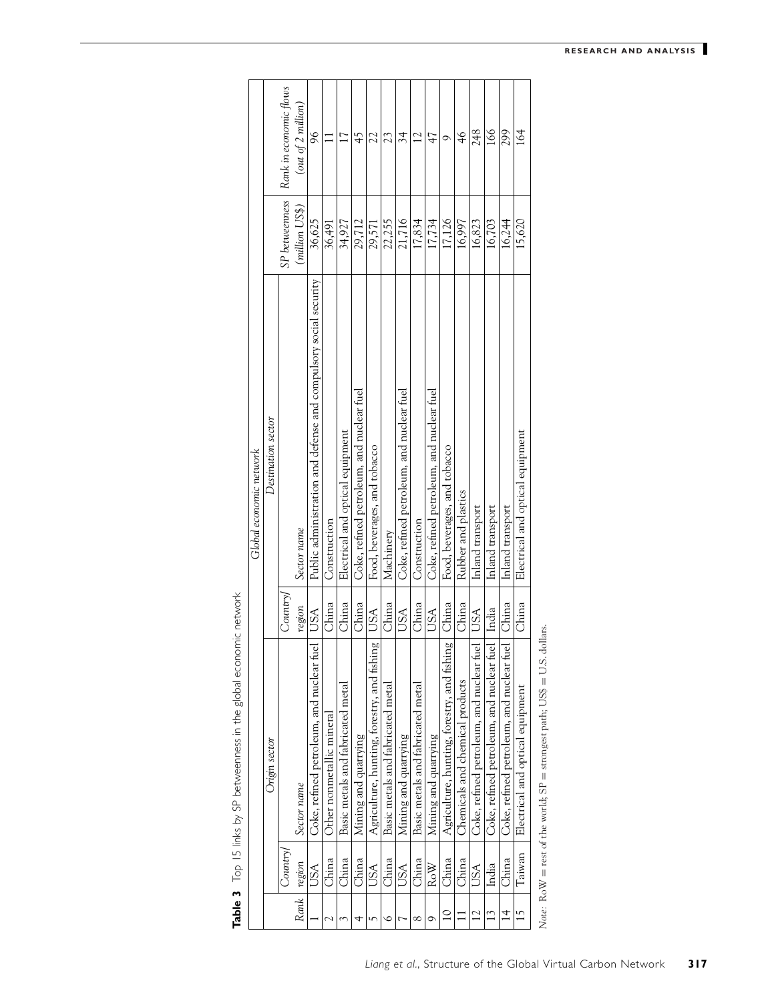|                         |                    | Rank in economic flows | $($ out of $2$ million $)$ | 96                                                               |                           | r                                 | 45                                        | 22                                          | 23                                | 34                                        | $\overline{2}$                    | 47                                        | ⊙                                           | $\frac{4}{6}$                   | 248                                       | $\frac{66}{5}$                            | 299                                          | 164                              |
|-------------------------|--------------------|------------------------|----------------------------|------------------------------------------------------------------|---------------------------|-----------------------------------|-------------------------------------------|---------------------------------------------|-----------------------------------|-------------------------------------------|-----------------------------------|-------------------------------------------|---------------------------------------------|---------------------------------|-------------------------------------------|-------------------------------------------|----------------------------------------------|----------------------------------|
|                         |                    | SP betweenness         | $(milton\;USS)$            | 36,625                                                           | 36,491                    | 34,927                            | 29,712                                    | 29,571                                      | 22,255                            | 21,716                                    | 17,834                            | 17,734                                    | 17,126                                      | 16,997                          | 16,823                                    | 16,703                                    | 16,244                                       | 15,620                           |
| Global economic network | Destination sector |                        | Sector name                | Public administration and defense and compulsory social security | Construction              | Electrical and optical equipment  | Coke, refined petroleum, and nuclear fuel | Food, beverages, and tobacco                | Machinery                         | Coke, refined petroleum, and nuclear tuel | Construction                      | Coke, refined petroleum, and nuclear fuel | Food, beverages, and tobacco                | Rubber and plastics             | Inland transport                          | Inland transport                          | Inland transport                             | Electrical and optical equipment |
|                         |                    | Country                | region                     | USA                                                              | China                     | China                             | China                                     | USA                                         | China                             | USA                                       | China                             | USA                                       | China                                       | China                           | USA                                       | India                                     | China                                        | China                            |
|                         | Origin sector      |                        | Sector name                | tuel<br>Coke, refined petroleum, and nuclear                     | Other nonmetallic mineral | Basic metals and fabricated metal | Mining and quarrying                      | Agriculture, hunting, forestry, and fishing | Basic metals and fabricated metal | Mining and quarrying                      | Basic metals and fabricated metal | Mining and quarrying                      | Agriculture, hunting, forestry, and fishing | Chemicals and chemical products | Coke, refined petroleum, and nuclear fuel | Coke, refined petroleum, and nuclear fuel | fuel<br>Coke, refined petroleum, and nuclear | Electrical and optical equipment |
|                         |                    | Country)               | region                     | USA                                                              | China                     | China                             | China                                     | USA                                         | China                             | USA                                       | China                             | RoW                                       | China                                       | China                           | USA                                       | India                                     | China                                        | Taiwan                           |
|                         |                    |                        | Rank                       |                                                                  |                           |                                   | 4                                         |                                             | ∘                                 |                                           | ∞                                 | σ                                         |                                             |                                 | $\mathfrak{1}$                            | $\overline{13}$                           | $\overline{4}$                               | 5                                |

\_\_\_\_\_\_\_\_\_\_\_\_\_\_\_\_\_\_\_\_\_

 $\overline{\phantom{0}}$ 

| ここ データー りょうりょう りょう<br>-<br>-<br>-<br>-<br>)<br>۵<br>atwaannacc in tha<br>$\frac{1}{3}$<br>I<br>l |  |
|--------------------------------------------------------------------------------------------------|--|
|                                                                                                  |  |
|                                                                                                  |  |
|                                                                                                  |  |
|                                                                                                  |  |
|                                                                                                  |  |
|                                                                                                  |  |
|                                                                                                  |  |
|                                                                                                  |  |
|                                                                                                  |  |
|                                                                                                  |  |
|                                                                                                  |  |
|                                                                                                  |  |
|                                                                                                  |  |

 $\Gamma$  $\overline{\phantom{a}}$   $\top$  $\top$  $\overline{\phantom{a}}$ 

> *Note:* RoW rest of the world; SP strongest path; US\$ U.S. dollars.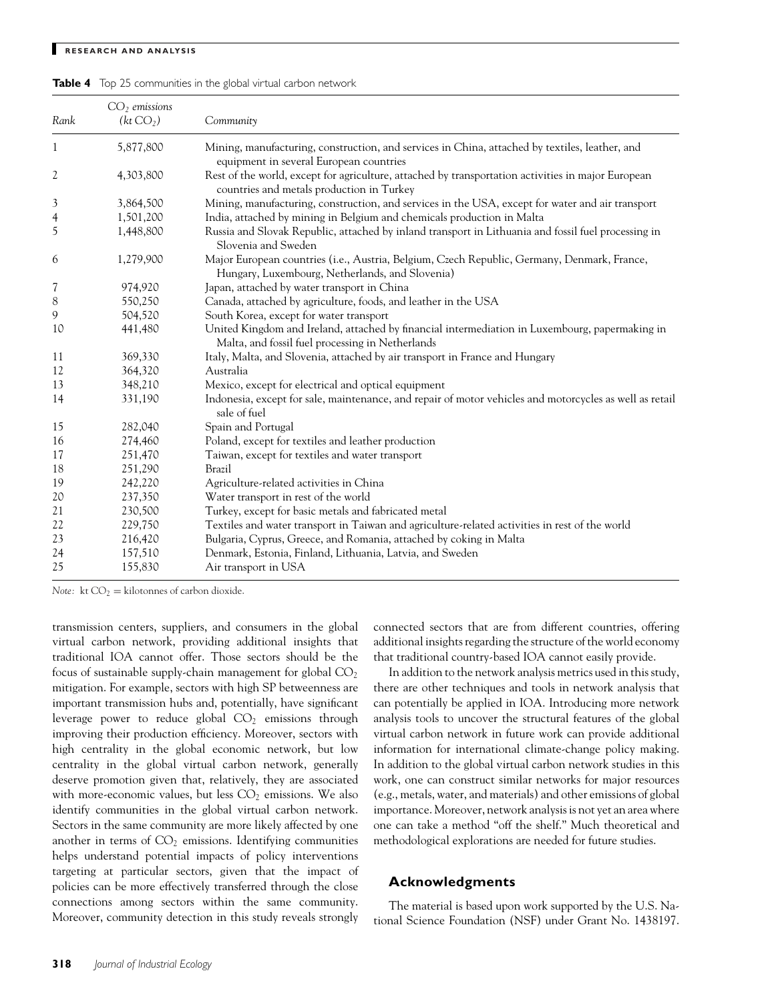### **RESEARCH AND ANALYSIS**

|  |  | Table 4 Top 25 communities in the global virtual carbon network |  |  |  |  |  |
|--|--|-----------------------------------------------------------------|--|--|--|--|--|
|--|--|-----------------------------------------------------------------|--|--|--|--|--|

|                          | $CO2$ emissions       |                                                                                                                                                    |
|--------------------------|-----------------------|----------------------------------------------------------------------------------------------------------------------------------------------------|
| Rank                     | (kt CO <sub>2</sub> ) | Community                                                                                                                                          |
| 1                        | 5,877,800             | Mining, manufacturing, construction, and services in China, attached by textiles, leather, and<br>equipment in several European countries          |
| 2                        | 4,303,800             | Rest of the world, except for agriculture, attached by transportation activities in major European<br>countries and metals production in Turkey    |
| 3                        | 3,864,500             | Mining, manufacturing, construction, and services in the USA, except for water and air transport                                                   |
| $\overline{\mathcal{A}}$ | 1,501,200             | India, attached by mining in Belgium and chemicals production in Malta                                                                             |
| 5                        | 1,448,800             | Russia and Slovak Republic, attached by inland transport in Lithuania and fossil fuel processing in<br>Slovenia and Sweden                         |
| 6                        | 1,279,900             | Major European countries (i.e., Austria, Belgium, Czech Republic, Germany, Denmark, France,<br>Hungary, Luxembourg, Netherlands, and Slovenia)     |
| 7                        | 974,920               | Japan, attached by water transport in China                                                                                                        |
| 8                        | 550,250               | Canada, attached by agriculture, foods, and leather in the USA                                                                                     |
| 9                        | 504,520               | South Korea, except for water transport                                                                                                            |
| 10                       | 441,480               | United Kingdom and Ireland, attached by financial intermediation in Luxembourg, papermaking in<br>Malta, and fossil fuel processing in Netherlands |
| 11                       | 369,330               | Italy, Malta, and Slovenia, attached by air transport in France and Hungary                                                                        |
| 12                       | 364,320               | Australia                                                                                                                                          |
| 13                       | 348,210               | Mexico, except for electrical and optical equipment                                                                                                |
| 14                       | 331,190               | Indonesia, except for sale, maintenance, and repair of motor vehicles and motorcycles as well as retail<br>sale of fuel                            |
| 15                       | 282,040               | Spain and Portugal                                                                                                                                 |
| 16                       | 274,460               | Poland, except for textiles and leather production                                                                                                 |
| 17                       | 251,470               | Taiwan, except for textiles and water transport                                                                                                    |
| 18                       | 251,290               | Brazil                                                                                                                                             |
| 19                       | 242,220               | Agriculture-related activities in China                                                                                                            |
| 20                       | 237,350               | Water transport in rest of the world                                                                                                               |
| 21                       | 230,500               | Turkey, except for basic metals and fabricated metal                                                                                               |
| 22                       | 229,750               | Textiles and water transport in Taiwan and agriculture-related activities in rest of the world                                                     |
| 23                       | 216,420               | Bulgaria, Cyprus, Greece, and Romania, attached by coking in Malta                                                                                 |
| 24                       | 157,510               | Denmark, Estonia, Finland, Lithuania, Latvia, and Sweden                                                                                           |
| 25                       | 155,830               | Air transport in USA                                                                                                                               |

*Note:* kt  $CO<sub>2</sub> =$  kilotonnes of carbon dioxide.

transmission centers, suppliers, and consumers in the global virtual carbon network, providing additional insights that traditional IOA cannot offer. Those sectors should be the focus of sustainable supply-chain management for global  $CO<sub>2</sub>$ mitigation. For example, sectors with high SP betweenness are important transmission hubs and, potentially, have significant leverage power to reduce global  $CO<sub>2</sub>$  emissions through improving their production efficiency. Moreover, sectors with high centrality in the global economic network, but low centrality in the global virtual carbon network, generally deserve promotion given that, relatively, they are associated with more-economic values, but less  $CO<sub>2</sub>$  emissions. We also identify communities in the global virtual carbon network. Sectors in the same community are more likely affected by one another in terms of  $CO<sub>2</sub>$  emissions. Identifying communities helps understand potential impacts of policy interventions targeting at particular sectors, given that the impact of policies can be more effectively transferred through the close connections among sectors within the same community. Moreover, community detection in this study reveals strongly

connected sectors that are from different countries, offering additional insights regarding the structure of the world economy that traditional country-based IOA cannot easily provide.

In addition to the network analysis metrics used in this study, there are other techniques and tools in network analysis that can potentially be applied in IOA. Introducing more network analysis tools to uncover the structural features of the global virtual carbon network in future work can provide additional information for international climate-change policy making. In addition to the global virtual carbon network studies in this work, one can construct similar networks for major resources (e.g., metals, water, and materials) and other emissions of global importance. Moreover, network analysis is not yet an area where one can take a method "off the shelf." Much theoretical and methodological explorations are needed for future studies.

## **Acknowledgments**

The material is based upon work supported by the U.S. National Science Foundation (NSF) under Grant No. 1438197.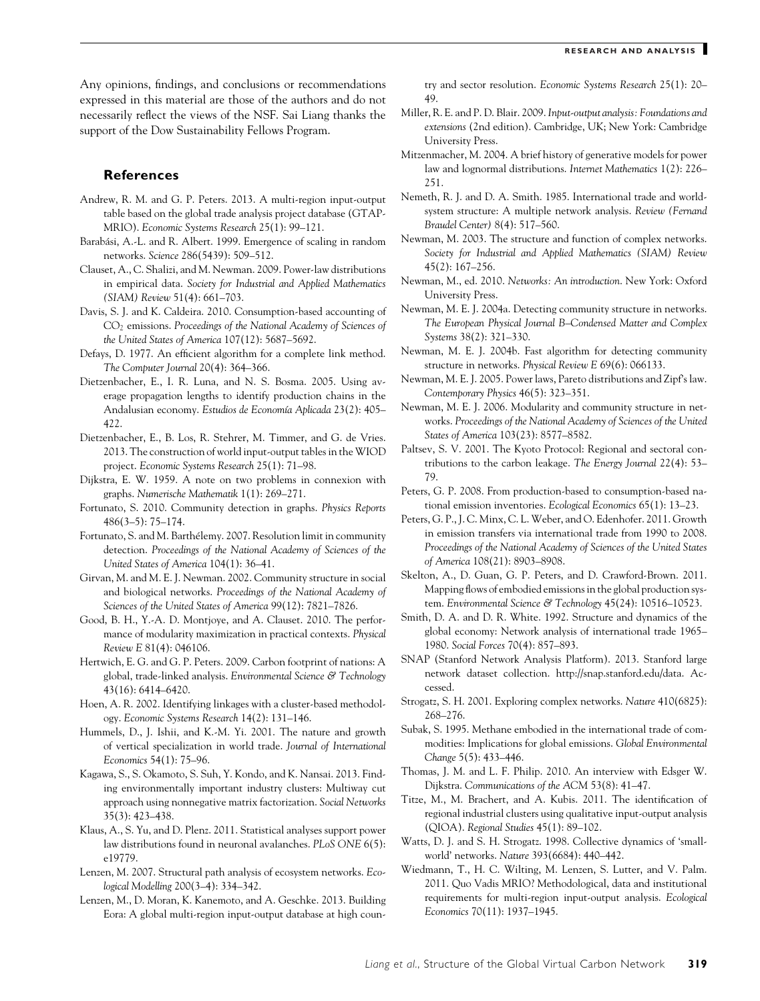Any opinions, findings, and conclusions or recommendations expressed in this material are those of the authors and do not necessarily reflect the views of the NSF. Sai Liang thanks the support of the Dow Sustainability Fellows Program.

# **References**

- Andrew, R. M. and G. P. Peters. 2013. A multi-region input-output table based on the global trade analysis project database (GTAP-MRIO). *Economic Systems Research* 25(1): 99–121.
- Barabási, A.-L. and R. Albert. 1999. Emergence of scaling in random networks. *Science* 286(5439): 509–512.
- Clauset, A., C. Shalizi, and M. Newman. 2009. Power-law distributions in empirical data. *Society for Industrial and Applied Mathematics (SIAM) Review* 51(4): 661–703.
- Davis, S. J. and K. Caldeira. 2010. Consumption-based accounting of CO2 emissions. *Proceedings of the National Academy of Sciences of the United States of America* 107(12): 5687–5692.
- Defays, D. 1977. An efficient algorithm for a complete link method. *The Computer Journal* 20(4): 364–366.
- Dietzenbacher, E., I. R. Luna, and N. S. Bosma. 2005. Using average propagation lengths to identify production chains in the Andalusian economy. *Estudios de Economía Aplicada* 23(2): 405-422.
- Dietzenbacher, E., B. Los, R. Stehrer, M. Timmer, and G. de Vries. 2013. The construction of world input-output tables in theWIOD project. *Economic Systems Research* 25(1): 71–98.
- Dijkstra, E. W. 1959. A note on two problems in connexion with graphs. *Numerische Mathematik* 1(1): 269–271.
- Fortunato, S. 2010. Community detection in graphs. *Physics Reports* 486(3–5): 75–174.
- Fortunato, S. and M. Barthélemy. 2007. Resolution limit in community detection. *Proceedings of the National Academy of Sciences of the United States of America* 104(1): 36–41.
- Girvan, M. and M. E. J. Newman. 2002. Community structure in social and biological networks. *Proceedings of the National Academy of Sciences of the United States of America* 99(12): 7821–7826.
- Good, B. H., Y.-A. D. Montjoye, and A. Clauset. 2010. The performance of modularity maximization in practical contexts. *Physical Review E* 81(4): 046106.
- Hertwich, E. G. and G. P. Peters. 2009. Carbon footprint of nations: A global, trade-linked analysis. *Environmental Science & Technology* 43(16): 6414–6420.
- Hoen, A. R. 2002. Identifying linkages with a cluster-based methodology. *Economic Systems Research* 14(2): 131–146.
- Hummels, D., J. Ishii, and K.-M. Yi. 2001. The nature and growth of vertical specialization in world trade. *Journal of International Economics* 54(1): 75–96.
- Kagawa, S., S. Okamoto, S. Suh, Y. Kondo, and K. Nansai. 2013. Finding environmentally important industry clusters: Multiway cut approach using nonnegative matrix factorization. *Social Networks* 35(3): 423–438.
- Klaus, A., S. Yu, and D. Plenz. 2011. Statistical analyses support power law distributions found in neuronal avalanches. *PLoS ONE* 6(5): e19779.
- Lenzen, M. 2007. Structural path analysis of ecosystem networks. *Ecological Modelling* 200(3–4): 334–342.
- Lenzen, M., D. Moran, K. Kanemoto, and A. Geschke. 2013. Building Eora: A global multi-region input-output database at high coun-

try and sector resolution. *Economic Systems Research* 25(1): 20– 49.

- Miller, R. E. and P. D. Blair. 2009. *Input-output analysis: Foundations and extensions* (2nd edition). Cambridge, UK; New York: Cambridge University Press.
- Mitzenmacher, M. 2004. A brief history of generative models for power law and lognormal distributions. *Internet Mathematics* 1(2): 226– 251.
- Nemeth, R. J. and D. A. Smith. 1985. International trade and worldsystem structure: A multiple network analysis. *Review (Fernand Braudel Center)* 8(4): 517–560.
- Newman, M. 2003. The structure and function of complex networks. *Society for Industrial and Applied Mathematics (SIAM) Review* 45(2): 167–256.
- Newman, M., ed. 2010. *Networks: An introduction*. New York: Oxford University Press.
- Newman, M. E. J. 2004a. Detecting community structure in networks. *The European Physical Journal B–Condensed Matter and Complex Systems* 38(2): 321–330.
- Newman, M. E. J. 2004b. Fast algorithm for detecting community structure in networks. *Physical Review E* 69(6): 066133.
- Newman, M. E. J. 2005. Power laws, Pareto distributions and Zipf's law. *Contemporary Physics* 46(5): 323–351.
- Newman, M. E. J. 2006. Modularity and community structure in networks. *Proceedings of the National Academy of Sciences of the United States of America* 103(23): 8577–8582.
- Paltsev, S. V. 2001. The Kyoto Protocol: Regional and sectoral contributions to the carbon leakage. *The Energy Journal* 22(4): 53– 79.
- Peters, G. P. 2008. From production-based to consumption-based national emission inventories. *Ecological Economics* 65(1): 13–23.
- Peters, G. P., J. C. Minx, C. L. Weber, and O. Edenhofer. 2011. Growth in emission transfers via international trade from 1990 to 2008. *Proceedings of the National Academy of Sciences of the United States of America* 108(21): 8903–8908.
- Skelton, A., D. Guan, G. P. Peters, and D. Crawford-Brown. 2011. Mapping flows of embodied emissions in the global production system. *Environmental Science & Technology* 45(24): 10516–10523.
- Smith, D. A. and D. R. White. 1992. Structure and dynamics of the global economy: Network analysis of international trade 1965– 1980. *Social Forces* 70(4): 857–893.
- SNAP (Stanford Network Analysis Platform). 2013. Stanford large network dataset collection. http://snap.stanford.edu/data. Accessed.
- Strogatz, S. H. 2001. Exploring complex networks. *Nature* 410(6825): 268–276.
- Subak, S. 1995. Methane embodied in the international trade of commodities: Implications for global emissions. *Global Environmental Change* 5(5): 433–446.
- Thomas, J. M. and L. F. Philip. 2010. An interview with Edsger W. Dijkstra. *Communications of the ACM* 53(8): 41–47.
- Titze, M., M. Brachert, and A. Kubis. 2011. The identification of regional industrial clusters using qualitative input-output analysis (QIOA). *Regional Studies* 45(1): 89–102.
- Watts, D. J. and S. H. Strogatz. 1998. Collective dynamics of 'smallworld' networks. *Nature* 393(6684): 440–442.
- Wiedmann, T., H. C. Wilting, M. Lenzen, S. Lutter, and V. Palm. 2011. Quo Vadis MRIO? Methodological, data and institutional requirements for multi-region input-output analysis. *Ecological Economics* 70(11): 1937–1945.